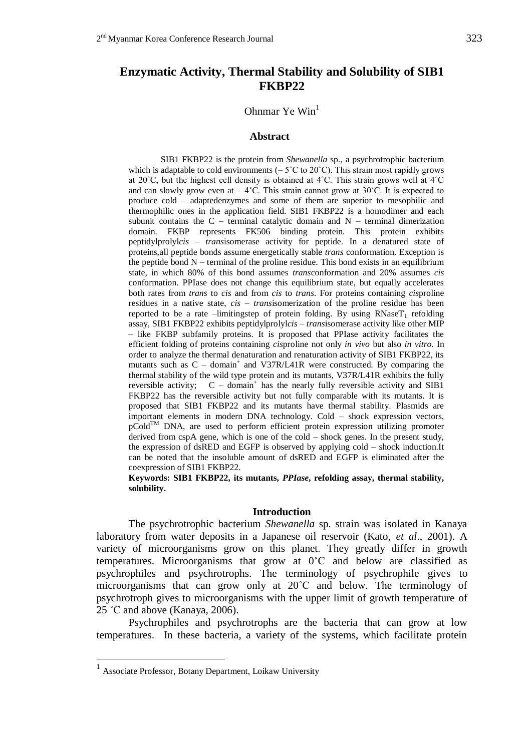# **Enzymatic Activity, Thermal Stability and Solubility of SIB1 FKBP22**

# Ohnmar Ye Win $<sup>1</sup>$ </sup>

### **Abstract**

SIB1 FKBP22 is the protein from *Shewanella* sp., a psychrotrophic bacterium which is adaptable to cold environments  $(-5^{\circ}C \text{ to } 20^{\circ}C)$ . This strain most rapidly grows at 20˚C, but the highest cell density is obtained at 4˚C. This strain grows well at 4˚C and can slowly grow even at  $-4^{\circ}$ C. This strain cannot grow at 30 $^{\circ}$ C. It is expected to produce cold – adaptedenzymes and some of them are superior to mesophilic and thermophilic ones in the application field. SIB1 FKBP22 is a homodimer and each subunit contains the  $C$  – terminal catalytic domain and  $N$  – terminal dimerization domain. FKBP represents FK506 binding protein. This protein exhibits peptidylprolyl*cis – trans*isomerase activity for peptide. In a denatured state of proteins,all peptide bonds assume energetically stable *trans* conformation. Exception is the peptide bond  $N$  – terminal of the proline residue. This bond exists in an equilibrium state, in which 80% of this bond assumes *trans*conformation and 20% assumes *cis* conformation. PPIase does not change this equilibrium state, but equally accelerates both rates from *trans* to *cis* and from *cis* to *trans*. For proteins containing *cis*proline residues in a native state, *cis – trans*isomerization of the proline residue has been reported to be a rate –limitingstep of protein folding. By using  $RNaseT_1$  refolding assay, SIB1 FKBP22 exhibits peptidylprolyl*cis – trans*isomerase activity like other MIP – like FKBP subfamily proteins. It is proposed that PPIase activity facilitates the efficient folding of proteins containing *cis*proline not only *in vivo* but also *in vitro*. In order to analyze the thermal denaturation and renaturation activity of SIB1 FKBP22, its mutants such as C – domain<sup>+</sup> and V37R/L41R were constructed. By comparing the thermal stability of the wild type protein and its mutants, V37R/L41R exhibits the fully reversible activity;  $C - domain<sup>+</sup>$  has the nearly fully reversible activity and SIB1 FKBP22 has the reversible activity but not fully comparable with its mutants. It is proposed that SIB1 FKBP22 and its mutants have thermal stability. Plasmids are important elements in modern DNA technology. Cold – shock expression vectors,  $p\text{Gold}^{\text{TM}}$  DNA, are used to perform efficient protein expression utilizing promoter derived from cspA gene, which is one of the cold – shock genes. In the present study, the expression of dsRED and EGFP is observed by applying cold – shock induction.It can be noted that the insoluble amount of dsRED and EGFP is eliminated after the coexpression of SIB1 FKBP22.

**Keywords: SIB1 FKBP22, its mutants,** *PPIase***, refolding assay, thermal stability, solubility.** 

## **Introduction**

The psychrotrophic bacterium *Shewanella* sp. strain was isolated in Kanaya laboratory from water deposits in a Japanese oil reservoir (Kato, *et al*., 2001). A variety of microorganisms grow on this planet. They greatly differ in growth temperatures. Microorganisms that grow at 0˚C and below are classified as psychrophiles and psychrotrophs. The terminology of psychrophile gives to microorganisms that can grow only at 20˚C and below. The terminology of psychrotroph gives to microorganisms with the upper limit of growth temperature of 25 ˚C and above (Kanaya, 2006).

Psychrophiles and psychrotrophs are the bacteria that can grow at low temperatures. In these bacteria, a variety of the systems, which facilitate protein

<u>.</u>

<sup>&</sup>lt;sup>1</sup> Associate Professor, Botany Department, Loikaw University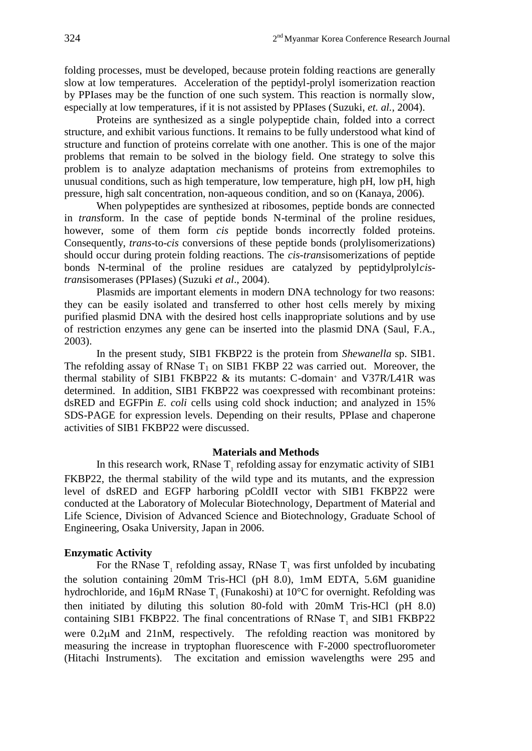folding processes, must be developed, because protein folding reactions are generally slow at low temperatures. Acceleration of the peptidyl-prolyl isomerization reaction by PPIases may be the function of one such system. This reaction is normally slow, especially at low temperatures, if it is not assisted by PPIases (Suzuki, *et. al.*, 2004).

Proteins are synthesized as a single polypeptide chain, folded into a correct structure, and exhibit various functions. It remains to be fully understood what kind of structure and function of proteins correlate with one another. This is one of the major problems that remain to be solved in the biology field. One strategy to solve this problem is to analyze adaptation mechanisms of proteins from extremophiles to unusual conditions, such as high temperature, low temperature, high pH, low pH, high pressure, high salt concentration, non-aqueous condition, and so on (Kanaya, 2006).

When polypeptides are synthesized at ribosomes, peptide bonds are connected in *trans*form. In the case of peptide bonds N-terminal of the proline residues, however, some of them form *cis* peptide bonds incorrectly folded proteins. Consequently, *trans*-to-*cis* conversions of these peptide bonds (prolylisomerizations) should occur during protein folding reactions. The *cis-trans*isomerizations of peptide bonds N-terminal of the proline residues are catalyzed by peptidylprolyl*cistrans*isomerases (PPIases) (Suzuki *et al*., 2004).

Plasmids are important elements in modern DNA technology for two reasons: they can be easily isolated and transferred to other host cells merely by mixing purified plasmid DNA with the desired host cells inappropriate solutions and by use of restriction enzymes any gene can be inserted into the plasmid DNA (Saul, F.A., 2003).

In the present study, SIB1 FKBP22 is the protein from *Shewanella* sp. SIB1. The refolding assay of RNase  $T_1$  on SIB1 FKBP 22 was carried out. Moreover, the thermal stability of SIB1 FKBP22 & its mutants: C-domain<sup>+</sup> and V37R/L41R was determined. In addition, SIB1 FKBP22 was coexpressed with recombinant proteins: dsRED and EGFPin *E. coli* cells using cold shock induction; and analyzed in 15% SDS-PAGE for expression levels. Depending on their results, PPIase and chaperone activities of SIB1 FKBP22 were discussed.

## **Materials and Methods**

In this research work, RNase  $T_1$  refolding assay for enzymatic activity of SIB1 FKBP22, the thermal stability of the wild type and its mutants, and the expression level of dsRED and EGFP harboring pColdII vector with SIB1 FKBP22 were conducted at the Laboratory of Molecular Biotechnology, Department of Material and Life Science, Division of Advanced Science and Biotechnology, Graduate School of Engineering, Osaka University, Japan in 2006.

## **Enzymatic Activity**

For the RNase  $T_1$  refolding assay, RNase  $T_1$  was first unfolded by incubating the solution containing 20mM Tris-HCl (pH 8.0), 1mM EDTA, 5.6M guanidine hydrochloride, and  $16\mu$ M RNase T<sub>1</sub> (Funakoshi) at  $10^{\circ}$ C for overnight. Refolding was then initiated by diluting this solution 80-fold with 20mM Tris-HCl (pH 8.0) containing SIB1 FKBP22. The final concentrations of RNase  $T_1$  and SIB1 FKBP22 were 0.2 $\mu$ M and 21nM, respectively. The refolding reaction was monitored by measuring the increase in tryptophan fluorescence with F-2000 spectrofluorometer (Hitachi Instruments). The excitation and emission wavelengths were 295 and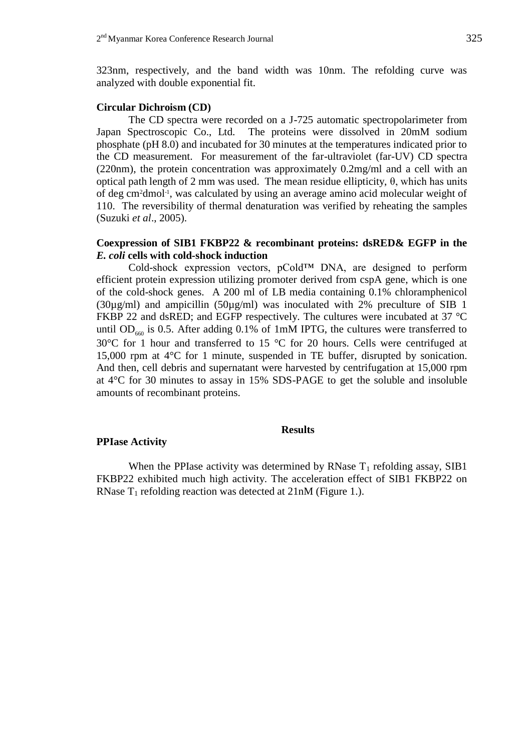323nm, respectively, and the band width was 10nm. The refolding curve was analyzed with double exponential fit.

### **Circular Dichroism (CD)**

The CD spectra were recorded on a J-725 automatic spectropolarimeter from Japan Spectroscopic Co., Ltd. The proteins were dissolved in 20mM sodium phosphate (pH 8.0) and incubated for 30 minutes at the temperatures indicated prior to the CD measurement. For measurement of the far-ultraviolet (far-UV) CD spectra (220nm), the protein concentration was approximately 0.2mg/ml and a cell with an optical path length of 2 mm was used. The mean residue ellipticity, θ, which has units of deg cm<sup>2</sup>dmol<sup>-1</sup>, was calculated by using an average amino acid molecular weight of 110. The reversibility of thermal denaturation was verified by reheating the samples (Suzuki *et al*., 2005).

## **Coexpression of SIB1 FKBP22 & recombinant proteins: dsRED& EGFP in the**  *E. coli* **cells with cold-shock induction**

Cold-shock expression vectors, pCold™ DNA, are designed to perform efficient protein expression utilizing promoter derived from cspA gene, which is one of the cold-shock genes. A 200 ml of LB media containing 0.1% chloramphenicol  $(30\mu\text{g/ml})$  and ampicillin  $(50\mu\text{g/ml})$  was inoculated with 2% preculture of SIB 1 FKBP 22 and dsRED; and EGFP respectively. The cultures were incubated at 37 °C until OD<sub>660</sub> is 0.5. After adding 0.1% of 1mM IPTG, the cultures were transferred to 30°C for 1 hour and transferred to 15 °C for 20 hours. Cells were centrifuged at 15,000 rpm at 4°C for 1 minute, suspended in TE buffer, disrupted by sonication. And then, cell debris and supernatant were harvested by centrifugation at 15,000 rpm at 4°C for 30 minutes to assay in 15% SDS-PAGE to get the soluble and insoluble amounts of recombinant proteins.

### **Results**

### **PPIase Activity**

When the PPIase activity was determined by RNase  $T_1$  refolding assay, SIB1 FKBP22 exhibited much high activity. The acceleration effect of SIB1 FKBP22 on RNase  $T_1$  refolding reaction was detected at  $21nM$  (Figure 1.).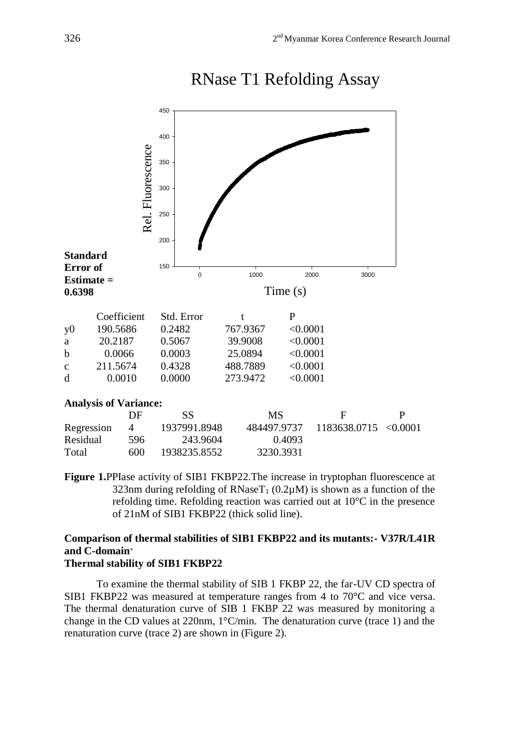



**Figure 1.**PPIase activity of SIB1 FKBP22.The increase in tryptophan fluorescence at 323nm during refolding of RNaseT<sub>1</sub> (0.2 $\mu$ M) is shown as a function of the refolding time. Refolding reaction was carried out at 10°C in the presence of 21nM of SIB1 FKBP22 (thick solid line).

## **Comparison of thermal stabilities of SIB1 FKBP22 and its mutants:- V37R/L41R and C-domain<sup>+</sup> Thermal stability of SIB1 FKBP22**

To examine the thermal stability of SIB 1 FKBP 22, the far-UV CD spectra of SIB1 FKBP22 was measured at temperature ranges from 4 to 70°C and vice versa. The thermal denaturation curve of SIB 1 FKBP 22 was measured by monitoring a change in the CD values at 220nm, 1°C/min. The denaturation curve (trace 1) and the renaturation curve (trace 2) are shown in (Figure 2).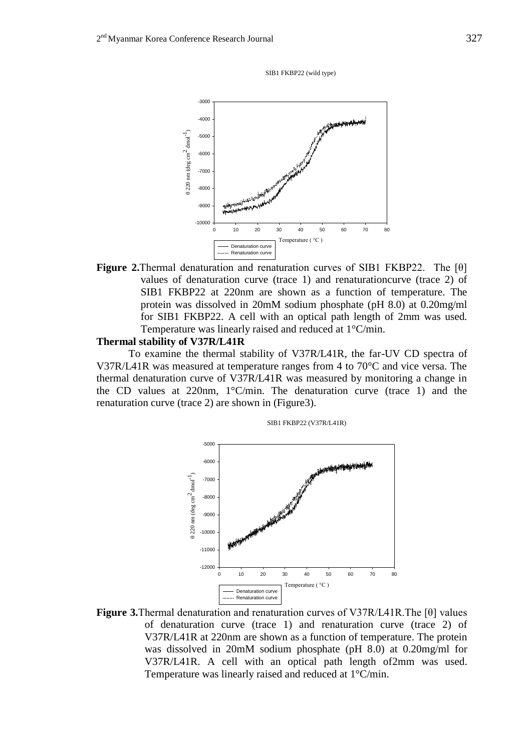SIB1 FKBP22 (wild type)



**Figure 2.**Thermal denaturation and renaturation curves of SIB1 FKBP22. The [θ] values of denaturation curve (trace 1) and renaturationcurve (trace 2) of SIB1 FKBP22 at 220nm are shown as a function of temperature. The protein was dissolved in 20mM sodium phosphate (pH 8.0) at 0.20mg/ml for SIB1 FKBP22. A cell with an optical path length of 2mm was used. Temperature was linearly raised and reduced at 1°C/min.

## **Thermal stability of V37R/L41R**

To examine the thermal stability of V37R/L41R, the far-UV CD spectra of V37R/L41R was measured at temperature ranges from 4 to 70°C and vice versa. The thermal denaturation curve of V37R/L41R was measured by monitoring a change in the CD values at 220nm, 1°C/min. The denaturation curve (trace 1) and the renaturation curve (trace 2) are shown in (Figure3).



SIB1 FKBP22 (V37R/L41R)

**Figure 3.**Thermal denaturation and renaturation curves of V37R/L41R.The [θ] values of denaturation curve (trace 1) and renaturation curve (trace 2) of V37R/L41R at 220nm are shown as a function of temperature. The protein was dissolved in 20mM sodium phosphate (pH 8.0) at 0.20mg/ml for V37R/L41R. A cell with an optical path length of2mm was used. Temperature was linearly raised and reduced at 1°C/min.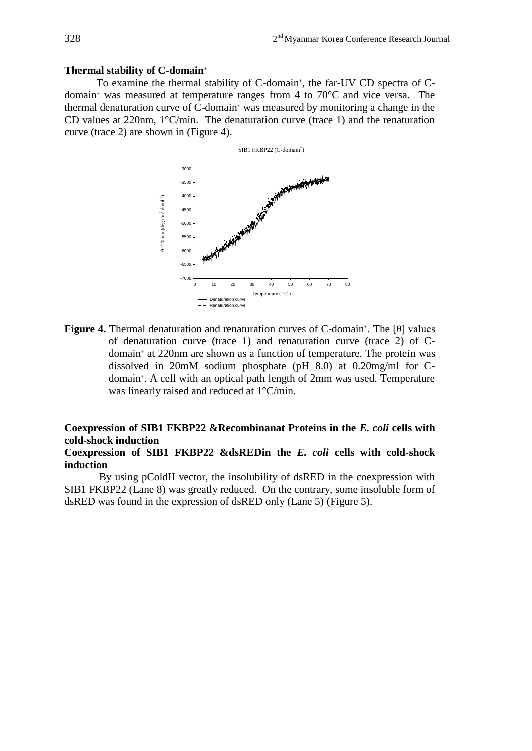### **Thermal stability of C-domain<sup>+</sup>**

To examine the thermal stability of C-domain<sup>+</sup>, the far-UV CD spectra of Cdomain<sup>+</sup> was measured at temperature ranges from 4 to  $70^{\circ}$ C and vice versa. The thermal denaturation curve of C-domain<sup>+</sup> was measured by monitoring a change in the CD values at 220nm, 1°C/min. The denaturation curve (trace 1) and the renaturation curve (trace 2) are shown in (Figure 4).



**Figure 4.** Thermal denaturation and renaturation curves of C-domain<sup>+</sup>. The [ $\theta$ ] values of denaturation curve (trace 1) and renaturation curve (trace 2) of Cdomain<sup>+</sup> at 220nm are shown as a function of temperature. The protein was dissolved in 20mM sodium phosphate (pH 8.0) at 0.20mg/ml for Cdomain<sup>+</sup> . A cell with an optical path length of 2mm was used. Temperature was linearly raised and reduced at 1°C/min.

# **Coexpression of SIB1 FKBP22 &Recombinanat Proteins in the** *E. coli* **cells with cold-shock induction**

## **Coexpression of SIB1 FKBP22 &dsREDin the** *E. coli* **cells with cold-shock induction**

By using pColdII vector, the insolubility of dsRED in the coexpression with SIB1 FKBP22 (Lane 8) was greatly reduced. On the contrary, some insoluble form of dsRED was found in the expression of dsRED only (Lane 5) (Figure 5).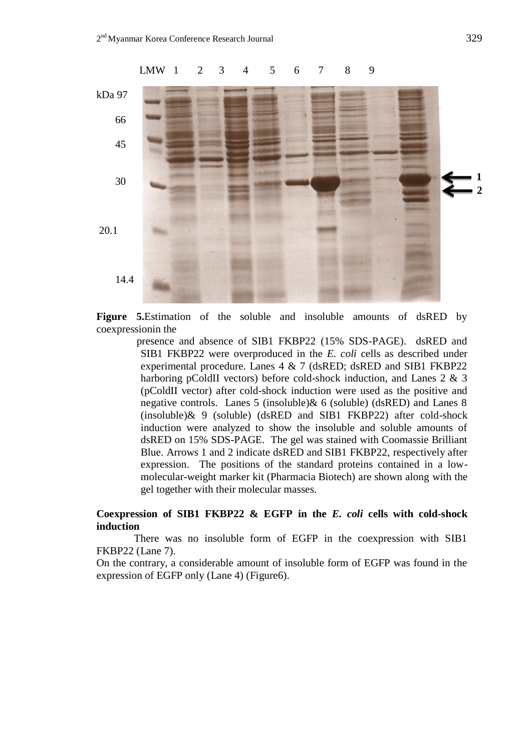

**Figure 5.**Estimation of the soluble and insoluble amounts of dsRED by coexpressionin the

> presence and absence of SIB1 FKBP22 (15% SDS-PAGE). dsRED and SIB1 FKBP22 were overproduced in the *E. coli* cells as described under experimental procedure. Lanes 4 & 7 (dsRED; dsRED and SIB1 FKBP22 harboring pColdII vectors) before cold-shock induction, and Lanes 2 & 3 (pColdII vector) after cold-shock induction were used as the positive and negative controls. Lanes 5 (insoluble)& 6 (soluble) (dsRED) and Lanes 8 (insoluble)& 9 (soluble) (dsRED and SIB1 FKBP22) after cold-shock induction were analyzed to show the insoluble and soluble amounts of dsRED on 15% SDS-PAGE. The gel was stained with Coomassie Brilliant Blue. Arrows 1 and 2 indicate dsRED and SIB1 FKBP22, respectively after expression. The positions of the standard proteins contained in a lowmolecular-weight marker kit (Pharmacia Biotech) are shown along with the gel together with their molecular masses.

# **Coexpression of SIB1 FKBP22 & EGFP in the** *E. coli* **cells with cold-shock induction**

 There was no insoluble form of EGFP in the coexpression with SIB1 FKBP22 (Lane 7).

On the contrary, a considerable amount of insoluble form of EGFP was found in the expression of EGFP only (Lane 4) (Figure6).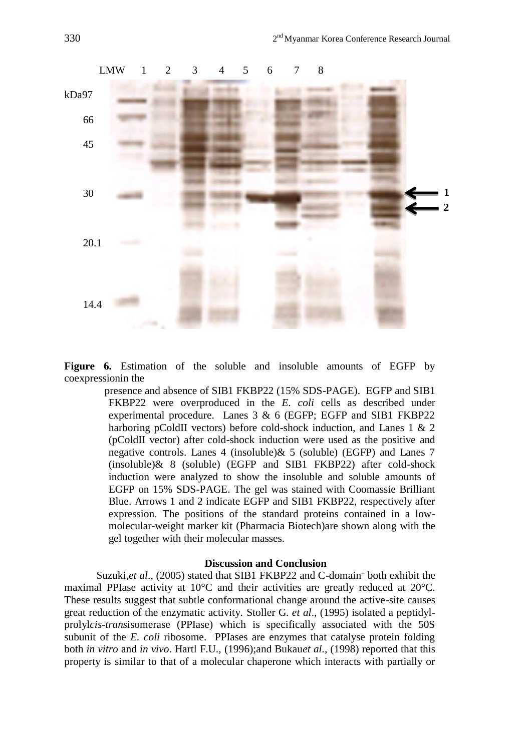

**Figure 6.** Estimation of the soluble and insoluble amounts of EGFP by coexpressionin the

> presence and absence of SIB1 FKBP22 (15% SDS-PAGE). EGFP and SIB1 FKBP22 were overproduced in the *E. coli* cells as described under experimental procedure. Lanes 3 & 6 (EGFP; EGFP and SIB1 FKBP22 harboring pColdII vectors) before cold-shock induction, and Lanes 1 & 2 (pColdII vector) after cold-shock induction were used as the positive and negative controls. Lanes 4 (insoluble)& 5 (soluble) (EGFP) and Lanes 7 (insoluble)& 8 (soluble) (EGFP and SIB1 FKBP22) after cold-shock induction were analyzed to show the insoluble and soluble amounts of EGFP on 15% SDS-PAGE. The gel was stained with Coomassie Brilliant Blue. Arrows 1 and 2 indicate EGFP and SIB1 FKBP22, respectively after expression. The positions of the standard proteins contained in a lowmolecular-weight marker kit (Pharmacia Biotech)are shown along with the gel together with their molecular masses.

### **Discussion and Conclusion**

Suzuki, *et al.*, (2005) stated that SIB1 FKBP22 and C-domain<sup>+</sup> both exhibit the maximal PPIase activity at 10°C and their activities are greatly reduced at 20°C. These results suggest that subtle conformational change around the active-site causes great reduction of the enzymatic activity. Stoller G. *et al*., (1995) isolated a peptidylprolyl*cis-trans*isomerase (PPIase) which is specifically associated with the 50S subunit of the *E. coli* ribosome. PPIases are enzymes that catalyse protein folding both *in vitro* and *in vivo*. Hartl F.U., (1996);and Bukau*et al.,* (1998) reported that this property is similar to that of a molecular chaperone which interacts with partially or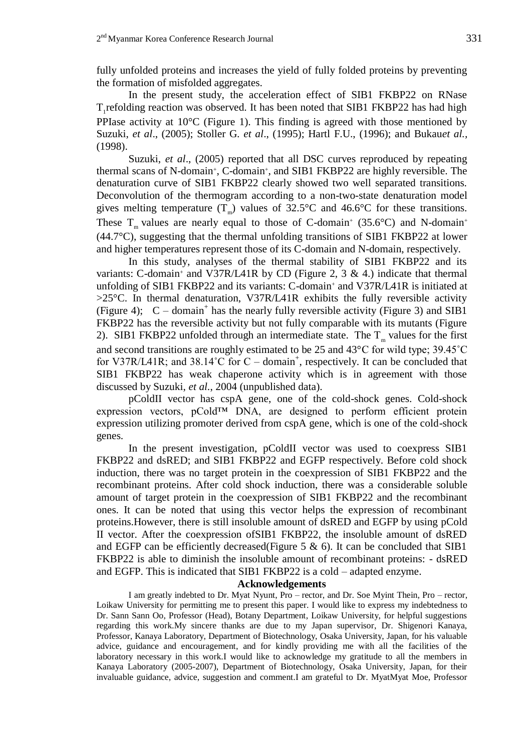fully unfolded proteins and increases the yield of fully folded proteins by preventing the formation of misfolded aggregates.

In the present study, the acceleration effect of SIB1 FKBP22 on RNase T<sub>1</sub> refolding reaction was observed. It has been noted that SIB1 FKBP22 has had high PPIase activity at 10°C (Figure 1). This finding is agreed with those mentioned by Suzuki, *et al*., (2005); Stoller G. *et al*., (1995); Hartl F.U., (1996); and Bukau*et al.,* (1998).

Suzuki, *et al*., (2005) reported that all DSC curves reproduced by repeating thermal scans of N-domain<sup>+</sup>, C-domain<sup>+</sup>, and SIB1 FKBP22 are highly reversible. The denaturation curve of SIB1 FKBP22 clearly showed two well separated transitions. Deconvolution of the thermogram according to a non-two-state denaturation model gives melting temperature  $(T_m)$  values of 32.5°C and 46.6°C for these transitions. These  $T_m$  values are nearly equal to those of C-domain<sup>+</sup> (35.6°C) and N-domain<sup>+</sup> (44.7°C), suggesting that the thermal unfolding transitions of SIB1 FKBP22 at lower and higher temperatures represent those of its C-domain and N-domain, respectively.

In this study, analyses of the thermal stability of SIB1 FKBP22 and its variants: C-domain<sup>+</sup> and V37R/L41R by CD (Figure 2, 3 & 4.) indicate that thermal unfolding of SIB1 FKBP22 and its variants: C-domain<sup>+</sup> and V37R/L41R is initiated at  $>25^{\circ}$ C. In thermal denaturation, V37R/L41R exhibits the fully reversible activity (Figure 4);  $C -$  domain<sup>+</sup> has the nearly fully reversible activity (Figure 3) and SIB1 FKBP22 has the reversible activity but not fully comparable with its mutants (Figure 2). SIB1 FKBP22 unfolded through an intermediate state. The  $T_m$  values for the first and second transitions are roughly estimated to be 25 and 43°C for wild type; 39.45˚C for V37R/L41R; and 38.14°C for  $C -$  domain<sup>+</sup>, respectively. It can be concluded that SIB1 FKBP22 has weak chaperone activity which is in agreement with those discussed by Suzuki, *et al.*, 2004 (unpublished data).

pColdII vector has cspA gene, one of the cold-shock genes. Cold-shock expression vectors, pCold™ DNA, are designed to perform efficient protein expression utilizing promoter derived from cspA gene, which is one of the cold-shock genes.

In the present investigation, pColdII vector was used to coexpress SIB1 FKBP22 and dsRED; and SIB1 FKBP22 and EGFP respectively. Before cold shock induction, there was no target protein in the coexpression of SIB1 FKBP22 and the recombinant proteins. After cold shock induction, there was a considerable soluble amount of target protein in the coexpression of SIB1 FKBP22 and the recombinant ones. It can be noted that using this vector helps the expression of recombinant proteins.However, there is still insoluble amount of dsRED and EGFP by using pCold II vector. After the coexpression ofSIB1 FKBP22, the insoluble amount of dsRED and EGFP can be efficiently decreased(Figure 5  $\&$  6). It can be concluded that SIB1 FKBP22 is able to diminish the insoluble amount of recombinant proteins: - dsRED and EGFP. This is indicated that SIB1 FKBP22 is a cold – adapted enzyme.

#### **Acknowledgements**

I am greatly indebted to Dr. Myat Nyunt, Pro – rector, and Dr. Soe Myint Thein, Pro – rector, Loikaw University for permitting me to present this paper. I would like to express my indebtedness to Dr. Sann Sann Oo, Professor (Head), Botany Department, Loikaw University, for helpful suggestions regarding this work.My sincere thanks are due to my Japan supervisor, Dr. Shigenori Kanaya, Professor, Kanaya Laboratory, Department of Biotechnology, Osaka University, Japan, for his valuable advice, guidance and encouragement, and for kindly providing me with all the facilities of the laboratory necessary in this work.I would like to acknowledge my gratitude to all the members in Kanaya Laboratory (2005-2007), Department of Biotechnology, Osaka University, Japan, for their invaluable guidance, advice, suggestion and comment.I am grateful to Dr. MyatMyat Moe, Professor